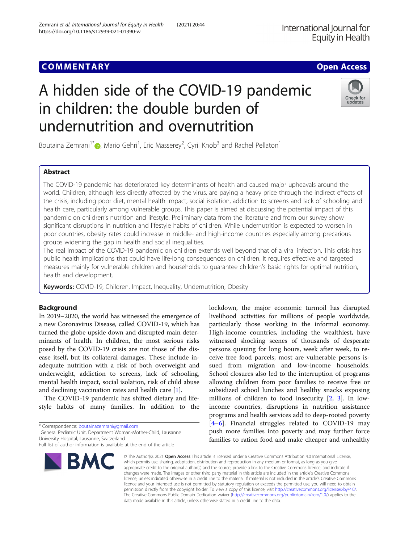## **COMMENTARY COMMENTARY COMMENTARY**

# A hidden side of the COVID-19 pandemic in children: the double burden of undernutrition and overnutrition

Boutaina Zemrani<sup>1\*</sup> $\bullet$ , Mario Gehri<sup>1</sup>, Eric Masserey<sup>2</sup>, Cyril Knob<sup>3</sup> and Rachel Pellaton<sup>1</sup>

## Abstract

The COVID-19 pandemic has deteriorated key determinants of health and caused major upheavals around the world. Children, although less directly affected by the virus, are paying a heavy price through the indirect effects of the crisis, including poor diet, mental health impact, social isolation, addiction to screens and lack of schooling and health care, particularly among vulnerable groups. This paper is aimed at discussing the potential impact of this pandemic on children's nutrition and lifestyle. Preliminary data from the literature and from our survey show significant disruptions in nutrition and lifestyle habits of children. While undernutrition is expected to worsen in poor countries, obesity rates could increase in middle- and high-income countries especially among precarious groups widening the gap in health and social inequalities.

The real impact of the COVID-19 pandemic on children extends well beyond that of a viral infection. This crisis has public health implications that could have life-long consequences on children. It requires effective and targeted measures mainly for vulnerable children and households to guarantee children's basic rights for optimal nutrition, health and development.

Keywords: COVID-19, Children, Impact, Inequality, Undernutrition, Obesity

## Background

In 2019–2020, the world has witnessed the emergence of a new Coronavirus Disease, called COVID-19, which has turned the globe upside down and disrupted main determinants of health. In children, the most serious risks posed by the COVID-19 crisis are not those of the disease itself, but its collateral damages. These include inadequate nutrition with a risk of both overweight and underweight, addiction to screens, lack of schooling, mental health impact, social isolation, risk of child abuse and declining vaccination rates and health care [[1](#page-3-0)].

The COVID-19 pandemic has shifted dietary and lifestyle habits of many families. In addition to the

\* Correspondence: [boutainazemrani@gmail.com](mailto:boutainazemrani@gmail.com) <sup>1</sup>

<sup>1</sup>General Pediatric Unit, Department Woman-Mother-Child, Lausanne University Hospital, Lausanne, Switzerland

particularly those working in the informal economy. High-income countries, including the wealthiest, have witnessed shocking scenes of thousands of desperate persons queuing for long hours, week after week, to receive free food parcels; most are vulnerable persons issued from migration and low-income households. School closures also led to the interruption of programs allowing children from poor families to receive free or subsidized school lunches and healthy snacks exposing millions of children to food insecurity [\[2](#page-3-0), [3](#page-3-0)]. In lowincome countries, disruptions in nutrition assistance programs and health services add to deep-rooted poverty [[4](#page-3-0)–[6\]](#page-3-0). Financial struggles related to COVID-19 may push more families into poverty and may further force families to ration food and make cheaper and unhealthy

lockdown, the major economic turmoil has disrupted livelihood activities for millions of people worldwide,

© The Author(s), 2021 **Open Access** This article is licensed under a Creative Commons Attribution 4.0 International License, which permits use, sharing, adaptation, distribution and reproduction in any medium or format, as long as you give appropriate credit to the original author(s) and the source, provide a link to the Creative Commons licence, and indicate if changes were made. The images or other third party material in this article are included in the article's Creative Commons licence, unless indicated otherwise in a credit line to the material. If material is not included in the article's Creative Commons licence and your intended use is not permitted by statutory regulation or exceeds the permitted use, you will need to obtain permission directly from the copyright holder. To view a copy of this licence, visit [http://creativecommons.org/licenses/by/4.0/.](http://creativecommons.org/licenses/by/4.0/) The Creative Commons Public Domain Dedication waiver [\(http://creativecommons.org/publicdomain/zero/1.0/](http://creativecommons.org/publicdomain/zero/1.0/)) applies to the data made available in this article, unless otherwise stated in a credit line to the data.

BMC







Full list of author information is available at the end of the article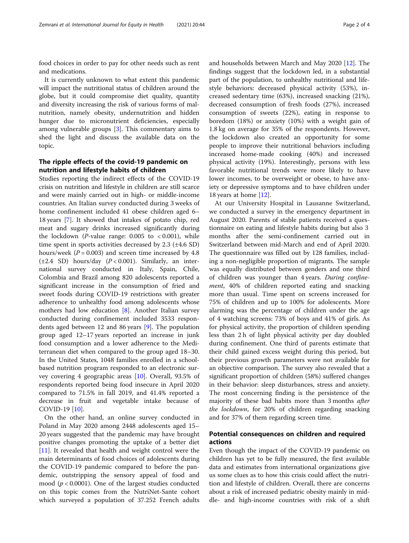food choices in order to pay for other needs such as rent and medications.

It is currently unknown to what extent this pandemic will impact the nutritional status of children around the globe, but it could compromise diet quality, quantity and diversity increasing the risk of various forms of malnutrition, namely obesity, undernutrition and hidden hunger due to micronutrient deficiencies, especially among vulnerable groups [[3\]](#page-3-0). This commentary aims to shed the light and discuss the available data on the topic.

## The ripple effects of the covid-19 pandemic on nutrition and lifestyle habits of children

Studies reporting the indirect effects of the COVID-19 crisis on nutrition and lifestyle in children are still scarce and were mainly carried out in high- or middle-income countries. An Italian survey conducted during 3 weeks of home confinement included 41 obese children aged 6– 18 years [[7\]](#page-3-0). It showed that intakes of potato chip, red meat and sugary drinks increased significantly during the lockdown (*P*-value range:  $0.005$  to  $< 0.001$ ), while time spent in sports activities decreased by  $2.3$  ( $\pm 4.6$  SD) hours/week ( $P = 0.003$ ) and screen time increased by 4.8 ( $\pm 2.4$  SD) hours/day ( $P < 0.001$ ). Similarly, an international survey conducted in Italy, Spain, Chile, Colombia and Brazil among 820 adolescents reported a significant increase in the consumption of fried and sweet foods during COVID-19 restrictions with greater adherence to unhealthy food among adolescents whose mothers had low education [[8\]](#page-3-0). Another Italian survey conducted during confinement included 3533 respondents aged between 12 and 86 years [[9\]](#page-3-0). The population group aged 12–17 years reported an increase in junk food consumption and a lower adherence to the Mediterranean diet when compared to the group aged 18–30. In the United States, 1048 families enrolled in a schoolbased nutrition program responded to an electronic survey covering 4 geographic areas [\[10\]](#page-3-0). Overall, 93.5% of respondents reported being food insecure in April 2020 compared to 71.5% in fall 2019, and 41.4% reported a decrease in fruit and vegetable intake because of COVID-19 [[10\]](#page-3-0).

On the other hand, an online survey conducted in Poland in May 2020 among 2448 adolescents aged 15– 20 years suggested that the pandemic may have brought positive changes promoting the uptake of a better diet [[11\]](#page-3-0). It revealed that health and weight control were the main determinants of food choices of adolescents during the COVID-19 pandemic compared to before the pandemic, outstripping the sensory appeal of food and mood ( $p < 0.0001$ ). One of the largest studies conducted on this topic comes from the NutriNet-Sante cohort which surveyed a population of 37.252 French adults

and households between March and May 2020 [\[12\]](#page-3-0). The findings suggest that the lockdown led, in a substantial part of the population, to unhealthy nutritional and lifestyle behaviors: decreased physical activity (53%), increased sedentary time (63%), increased snacking (21%), decreased consumption of fresh foods (27%), increased consumption of sweets (22%), eating in response to boredom (18%) or anxiety (10%) with a weight gain of 1.8 kg on average for 35% of the respondents. However, the lockdown also created an opportunity for some people to improve their nutritional behaviors including increased home-made cooking (40%) and increased physical activity (19%). Interestingly, persons with less favorable nutritional trends were more likely to have lower incomes, to be overweight or obese, to have anxiety or depressive symptoms and to have children under 18 years at home [[12\]](#page-3-0).

At our University Hospital in Lausanne Switzerland, we conducted a survey in the emergency department in August 2020. Parents of stable patients received a questionnaire on eating and lifestyle habits during but also 3 months after the semi-confinement carried out in Switzerland between mid-March and end of April 2020. The questionnaire was filled out by 128 families, including a non-negligible proportion of migrants. The sample was equally distributed between genders and one third of children was younger than 4 years. During confinement, 40% of children reported eating and snacking more than usual. Time spent on screens increased for 75% of children and up to 100% for adolescents. More alarming was the percentage of children under the age of 4 watching screens: 73% of boys and 41% of girls. As for physical activity, the proportion of children spending less than 2 h of light physical activity per day doubled during confinement. One third of parents estimate that their child gained excess weight during this period, but their previous growth parameters were not available for an objective comparison. The survey also revealed that a significant proportion of children (58%) suffered changes in their behavior: sleep disturbances, stress and anxiety. The most concerning finding is the persistence of the majority of these bad habits more than 3 months after the lockdown, for 20% of children regarding snacking and for 37% of them regarding screen time.

## Potential consequences on children and required actions

Even though the impact of the COVID-19 pandemic on children has yet to be fully measured, the first available data and estimates from international organizations give us some clues as to how this crisis could affect the nutrition and lifestyle of children. Overall, there are concerns about a risk of increased pediatric obesity mainly in middle- and high-income countries with risk of a shift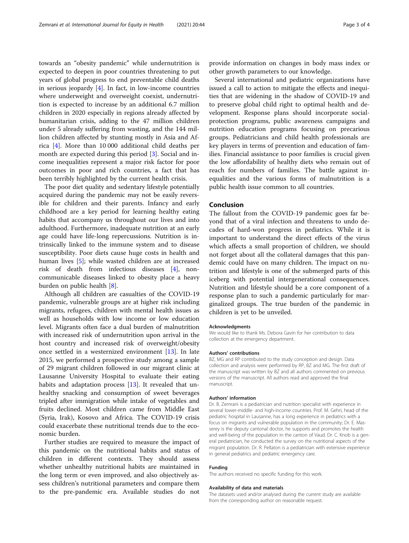towards an "obesity pandemic" while undernutrition is expected to deepen in poor countries threatening to put years of global progress to end preventable child deaths in serious jeopardy  $[4]$  $[4]$ . In fact, in low-income countries where underweight and overweight coexist, undernutrition is expected to increase by an additional 6.7 million children in 2020 especially in regions already affected by humanitarian crisis, adding to the 47 million children under 5 already suffering from wasting, and the 144 million children affected by stunting mostly in Asia and Africa [[4\]](#page-3-0). More than 10 000 additional child deaths per month are expected during this period [[3\]](#page-3-0). Social and income inequalities represent a major risk factor for poor outcomes in poor and rich countries, a fact that has been terribly highlighted by the current health crisis.

The poor diet quality and sedentary lifestyle potentially acquired during the pandemic may not be easily reversible for children and their parents. Infancy and early childhood are a key period for learning healthy eating habits that accompany us throughout our lives and into adulthood. Furthermore, inadequate nutrition at an early age could have life-long repercussions. Nutrition is intrinsically linked to the immune system and to disease susceptibility. Poor diets cause huge costs in health and human lives [\[5](#page-3-0)]; while wasted children are at increased risk of death from infectious diseases [[4\]](#page-3-0), noncommunicable diseases linked to obesity place a heavy burden on public health [[8\]](#page-3-0).

Although all children are casualties of the COVID-19 pandemic, vulnerable groups are at higher risk including migrants, refugees, children with mental health issues as well as households with low income or low education level. Migrants often face a dual burden of malnutrition with increased risk of undernutrition upon arrival in the host country and increased risk of overweight/obesity once settled in a westernized environment [[13\]](#page-3-0). In late 2015, we performed a prospective study among a sample of 29 migrant children followed in our migrant clinic at Lausanne University Hospital to evaluate their eating habits and adaptation process [[13\]](#page-3-0). It revealed that unhealthy snacking and consumption of sweet beverages tripled after immigration while intake of vegetables and fruits declined. Most children came from Middle East (Syria, Irak), Kosovo and Africa. The COVID-19 crisis could exacerbate these nutritional trends due to the economic burden.

Further studies are required to measure the impact of this pandemic on the nutritional habits and status of children in different contexts. They should assess whether unhealthy nutritional habits are maintained in the long term or even improved, and also objectively assess children's nutritional parameters and compare them to the pre-pandemic era. Available studies do not

provide information on changes in body mass index or other growth parameters to our knowledge.

Several international and pediatric organizations have issued a call to action to mitigate the effects and inequities that are widening in the shadow of COVID-19 and to preserve global child right to optimal health and development. Response plans should incorporate socialprotection programs, public awareness campaigns and nutrition education programs focusing on precarious groups. Pediatricians and child health professionals are key players in terms of prevention and education of families. Financial assistance to poor families is crucial given the low affordability of healthy diets who remain out of reach for numbers of families. The battle against inequalities and the various forms of malnutrition is a public health issue common to all countries.

## Conclusion

The fallout from the COVID-19 pandemic goes far beyond that of a viral infection and threatens to undo decades of hard-won progress in pediatrics. While it is important to understand the direct effects of the virus which affects a small proportion of children, we should not forget about all the collateral damages that this pandemic could have on many children. The impact on nutrition and lifestyle is one of the submerged parts of this iceberg with potential intergenerational consequences. Nutrition and lifestyle should be a core component of a response plan to such a pandemic particularly for marginalized groups. The true burden of the pandemic in children is yet to be unveiled.

#### Acknowledgments

We would like to thank Ms. Debora Gavin for her contribution to data collection at the emergency department.

#### Authors' contributions

BZ, MG and RP contributed to the study conception and design. Data collection and analysis were performed by RP, BZ and MG. The first draft of the manuscript was written by BZ and all authors commented on previous versions of the manuscript. All authors read and approved the final manuscript.

#### Authors' information

Dr. B. Zemrani is a pediatrician and nutrition specialist with experience in several lower-middle- and high-income countries. Prof. M. Gehri, head of the pediatric hospital in Lausanne, has a long experience in pediatrics with a focus on migrants and vulnerable population in the community; Dr. E. Masserey is the deputy cantonal doctor, he supports and promotes the health and well-being of the population in the canton of Vaud. Dr. C. Knob is a general pediatrician, he conducted the survey on the nutritional aspects of the migrant population. Dr. R. Pellaton is a pediatrician with extensive experience in general pediatrics and pediatric emergency care.

#### Funding

The authors received no specific funding for this work.

#### Availability of data and materials

The datasets used and/or analysed during the current study are available from the corresponding author on reasonable request.